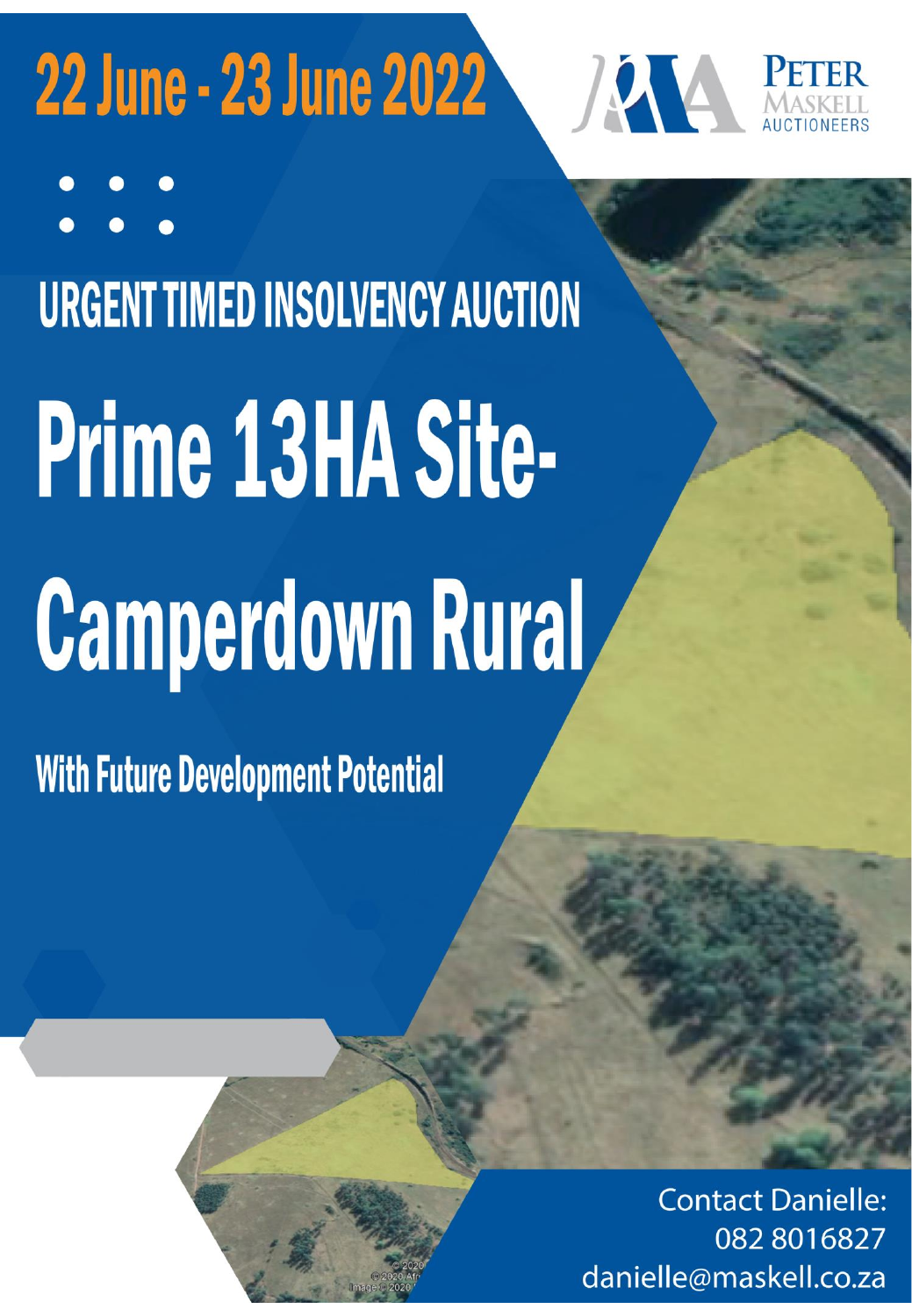## 22 June - 23 June 2022



**URGENT TIMED INSOLVENCY AUCTION** 

# Prime 13HA Site-**Camperdown Rural**

**With Future Development Potential** 

**Contact Danielle:** 082 801 6827 danielle@maskell.co.za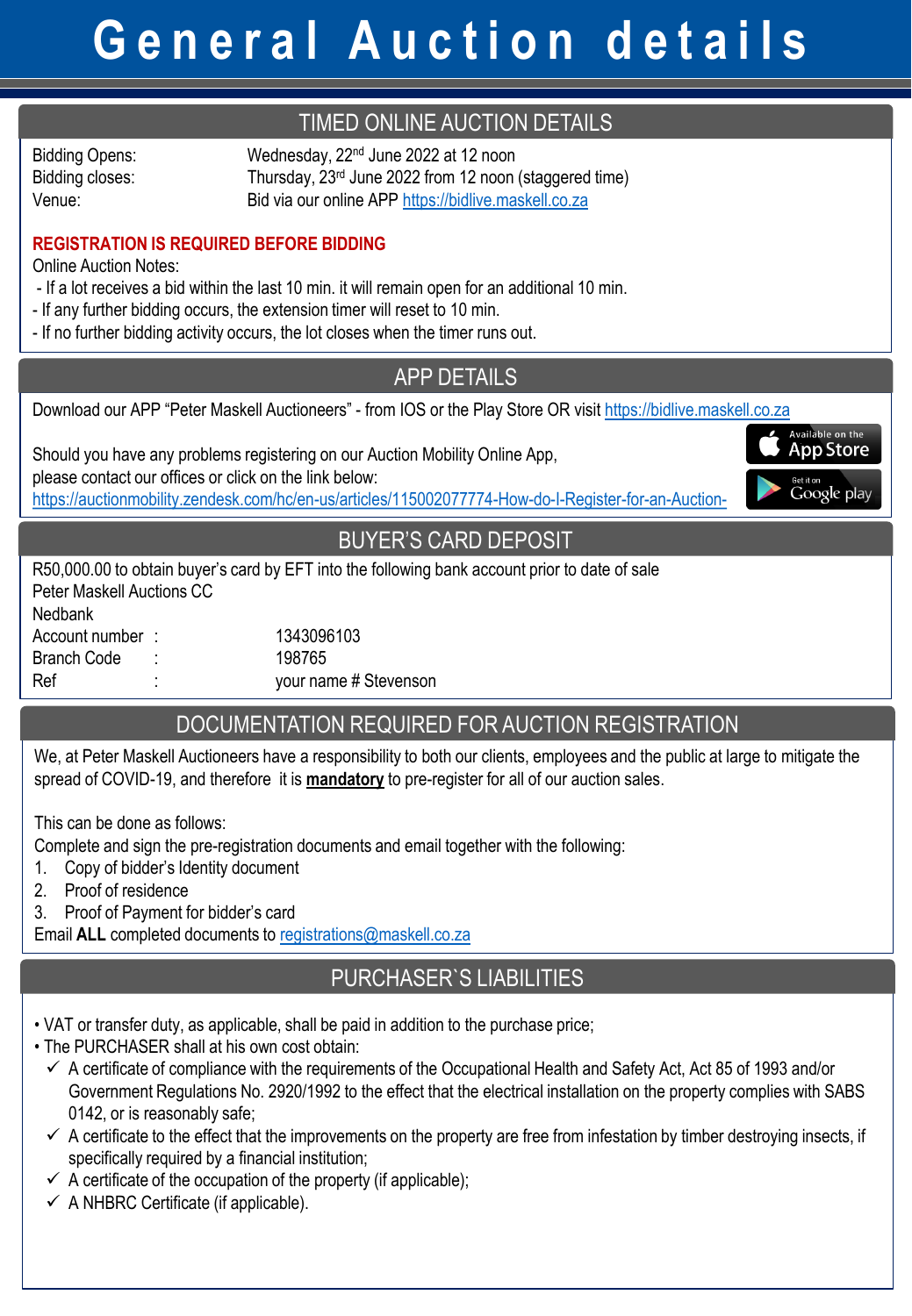## **G e n e r a l A u c t i o n d e t a i l s**

#### TIMED ONLINE AUCTION DETAILS

Bidding Opens: Wednesday, 22<sup>nd</sup> June 2022 at 12 noon Bidding closes: Thursday, 23<sup>rd</sup> June 2022 from 12 noon (staggered time) Venue: Bid via our online APP [https://bidlive.maskell.co.za](https://bidlive.maskell.co.za/)

#### **REGISTRATION IS REQUIRED BEFORE BIDDING**

Online Auction Notes:

- If a lot receives a bid within the last 10 min. it will remain open for an additional 10 min.
- If any further bidding occurs, the extension timer will reset to 10 min.
- If no further bidding activity occurs, the lot closes when the timer runs out.

#### APP DETAILS

Available on the **App Store** 

Google play

Download our APP "Peter Maskell Auctioneers" - from IOS or the Play Store OR visit [https://bidlive.maskell.co.za](https://bidlive.maskell.co.za/)

Should you have any problems registering on our Auction Mobility Online App,

please contact our offices or click on the link below:

<https://auctionmobility.zendesk.com/hc/en-us/articles/115002077774-How-do-I-Register-for-an-Auction->

#### BUYER'S CARD DEPOSIT

R50,000.00 to obtain buyer's card by EFT into the following bank account prior to date of sale Peter Maskell Auctions CC Nedbank Account number : 1343096103 Branch Code : 198765 Ref :  $\cdot$  your name # Stevenson

#### DOCUMENTATION REQUIRED FOR AUCTION REGISTRATION

We, at Peter Maskell Auctioneers have a responsibility to both our clients, employees and the public at large to mitigate the spread of COVID-19, and therefore it is **mandatory** to pre-register for all of our auction sales.

This can be done as follows:

Complete and sign the pre-registration documents and email together with the following:

- 1. Copy of bidder's Identity document
- 2. Proof of residence
- 3. Proof of Payment for bidder's card

Email **ALL** completed documents to [registrations@maskell.co.za](mailto:registrations@maskell.co.za)

#### PURCHASER`S LIABILITIES

- VAT or transfer duty, as applicable, shall be paid in addition to the purchase price;
- The PURCHASER shall at his own cost obtain:
	- $\checkmark$  A certificate of compliance with the requirements of the Occupational Health and Safety Act, Act 85 of 1993 and/or Government Regulations No. 2920/1992 to the effect that the electrical installation on the property complies with SABS 0142, or is reasonably safe;
	- $\checkmark$  A certificate to the effect that the improvements on the property are free from infestation by timber destroying insects, if specifically required by a financial institution;
	- $\checkmark$  A certificate of the occupation of the property (if applicable);
	- $\checkmark$  A NHBRC Certificate (if applicable).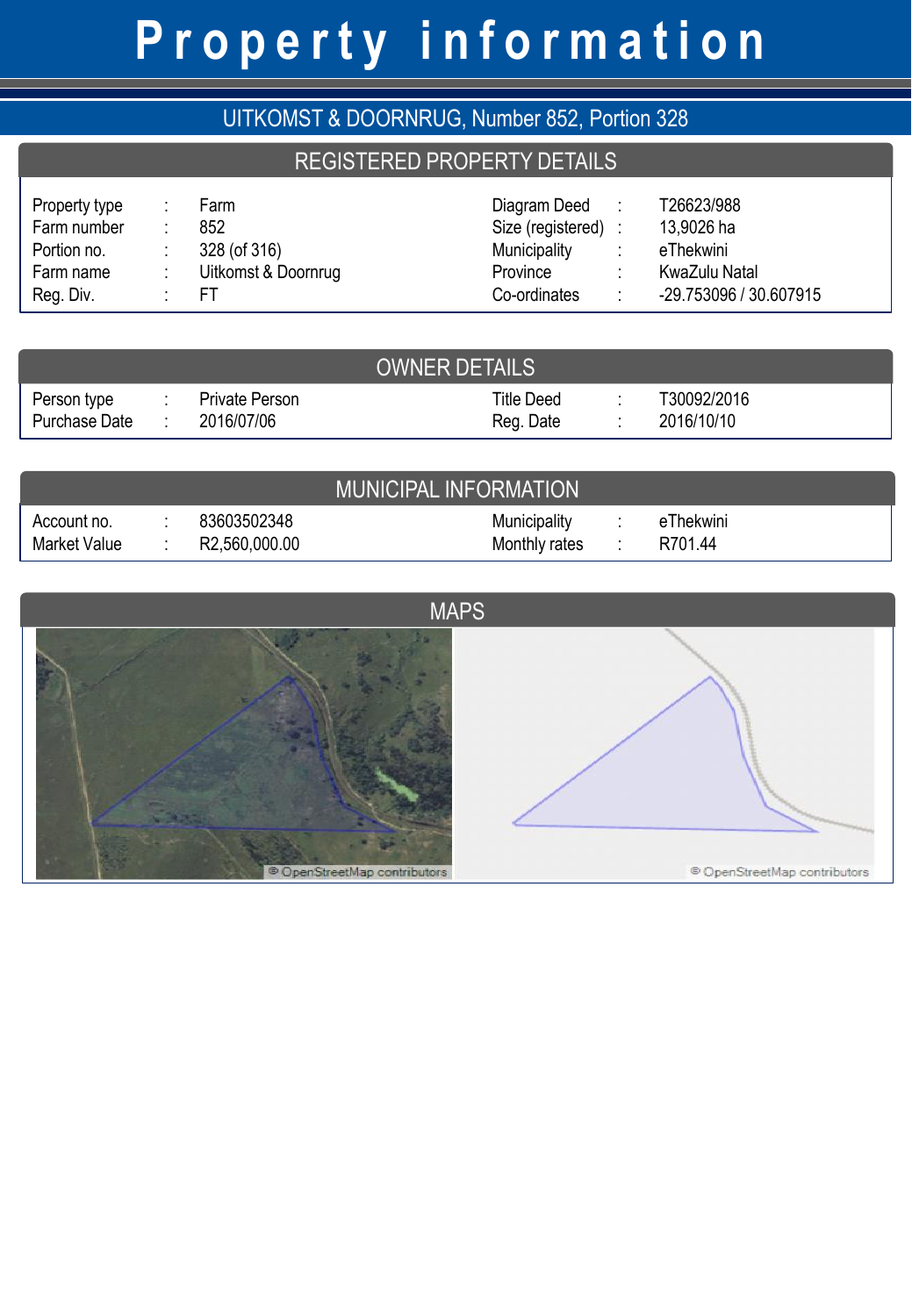## **P r o p e r t y i n f o r m a t i o n**

| UITKOMST & DOORNRUG, Number 852, Portion 328                          |   |                                                          |                                                                                 |                          |                                                                                         |  |
|-----------------------------------------------------------------------|---|----------------------------------------------------------|---------------------------------------------------------------------------------|--------------------------|-----------------------------------------------------------------------------------------|--|
| <b>REGISTERED PROPERTY DETAILS</b>                                    |   |                                                          |                                                                                 |                          |                                                                                         |  |
| Property type<br>Farm number<br>Portion no.<br>Farm name<br>Reg. Div. | ٠ | Farm<br>852<br>328 (of 316)<br>Uitkomst & Doornrug<br>FТ | Diagram Deed<br>Size (registered) :<br>Municipality<br>Province<br>Co-ordinates | $\sim$ 1.<br>÷<br>÷<br>÷ | T26623/988<br>13,9026 ha<br>eThekwini<br><b>KwaZulu Natal</b><br>-29.753096 / 30.607915 |  |
|                                                                       |   | . <del>.</del>                                           |                                                                                 |                          |                                                                                         |  |

| <b>OWNER DETAILS</b>         |  |                              |                         |  |                           |  |
|------------------------------|--|------------------------------|-------------------------|--|---------------------------|--|
| Person type<br>Purchase Date |  | Private Person<br>2016/07/06 | Title Deed<br>Reg. Date |  | T30092/2016<br>2016/10/10 |  |

|                             |                              | <b>MUNICIPAL INFORMATION</b>         |                      |  |
|-----------------------------|------------------------------|--------------------------------------|----------------------|--|
| Account no.<br>Market Value | 83603502348<br>R2,560,000.00 | <b>Municipality</b><br>Monthly rates | eThekwini<br>R701.44 |  |

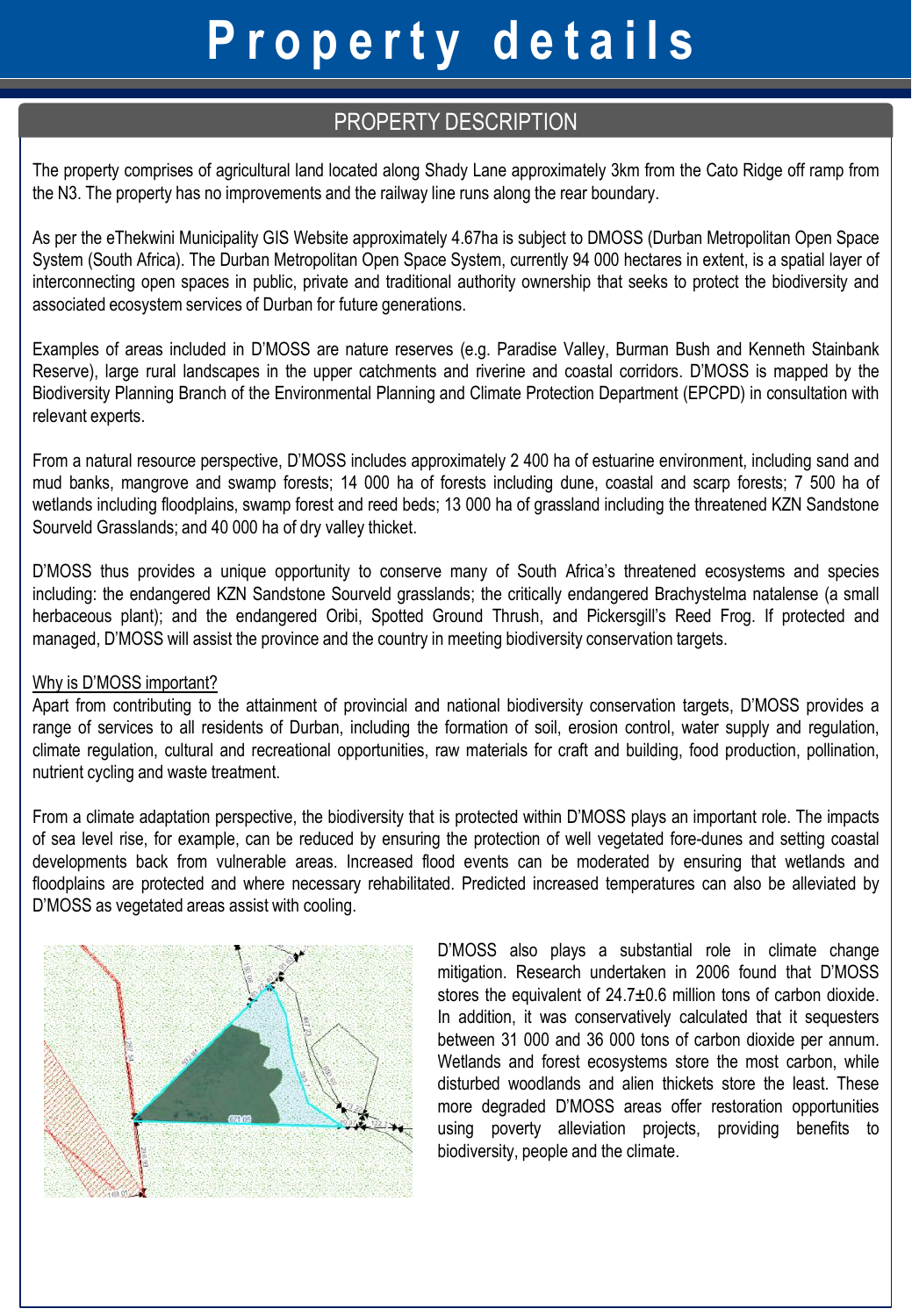## **P r o p e r t y d e t a i l s**

#### PROPERTY DESCRIPTION

The property comprises of agricultural land located along Shady Lane approximately 3km from the Cato Ridge off ramp from the N3. The property has no improvements and the railway line runs along the rear boundary.

As per the eThekwini Municipality GIS Website approximately 4.67ha is subject to DMOSS (Durban Metropolitan Open Space System (South Africa). The Durban Metropolitan Open Space System, currently 94 000 hectares in extent, is a spatial layer of interconnecting open spaces in public, private and traditional authority ownership that seeks to protect the biodiversity and associated ecosystem services of Durban for future generations.

Examples of areas included in D'MOSS are nature reserves (e.g. Paradise Valley, Burman Bush and Kenneth Stainbank Reserve), large rural landscapes in the upper catchments and riverine and coastal corridors. D'MOSS is mapped by the Biodiversity Planning Branch of the Environmental Planning and Climate Protection Department (EPCPD) in consultation with relevant experts.

From a natural resource perspective, D'MOSS includes approximately 2 400 ha of estuarine environment, including sand and mud banks, mangrove and swamp forests; 14 000 ha of forests including dune, coastal and scarp forests; 7 500 ha of wetlands including floodplains, swamp forest and reed beds; 13 000 ha of grassland including the threatened KZN Sandstone Sourveld Grasslands; and 40 000 ha of dry valley thicket.

D'MOSS thus provides a unique opportunity to conserve many of South Africa's threatened ecosystems and species including: the endangered KZN Sandstone Sourveld grasslands; the critically endangered Brachystelma natalense (a small herbaceous plant); and the endangered Oribi, Spotted Ground Thrush, and Pickersgill's Reed Frog. If protected and managed, D'MOSS will assist the province and the country in meeting biodiversity conservation targets.

#### Why is D'MOSS important?

Apart from contributing to the attainment of provincial and national biodiversity conservation targets, D'MOSS provides a range of services to all residents of Durban, including the formation of soil, erosion control, water supply and regulation, climate regulation, cultural and recreational opportunities, raw materials for craft and building, food production, pollination, nutrient cycling and waste treatment.

From a climate adaptation perspective, the biodiversity that is protected within D'MOSS plays an important role. The impacts of sea level rise, for example, can be reduced by ensuring the protection of well vegetated fore-dunes and setting coastal developments back from vulnerable areas. Increased flood events can be moderated by ensuring that wetlands and floodplains are protected and where necessary rehabilitated. Predicted increased temperatures can also be alleviated by D'MOSS as vegetated areas assist with cooling.



D'MOSS also plays a substantial role in climate change mitigation. Research undertaken in 2006 found that D'MOSS stores the equivalent of 24.7±0.6 million tons of carbon dioxide. In addition, it was conservatively calculated that it sequesters between 31 000 and 36 000 tons of carbon dioxide per annum. Wetlands and forest ecosystems store the most carbon, while disturbed woodlands and alien thickets store the least. These more degraded D'MOSS areas offer restoration opportunities using poverty alleviation projects, providing benefits to biodiversity, people and the climate.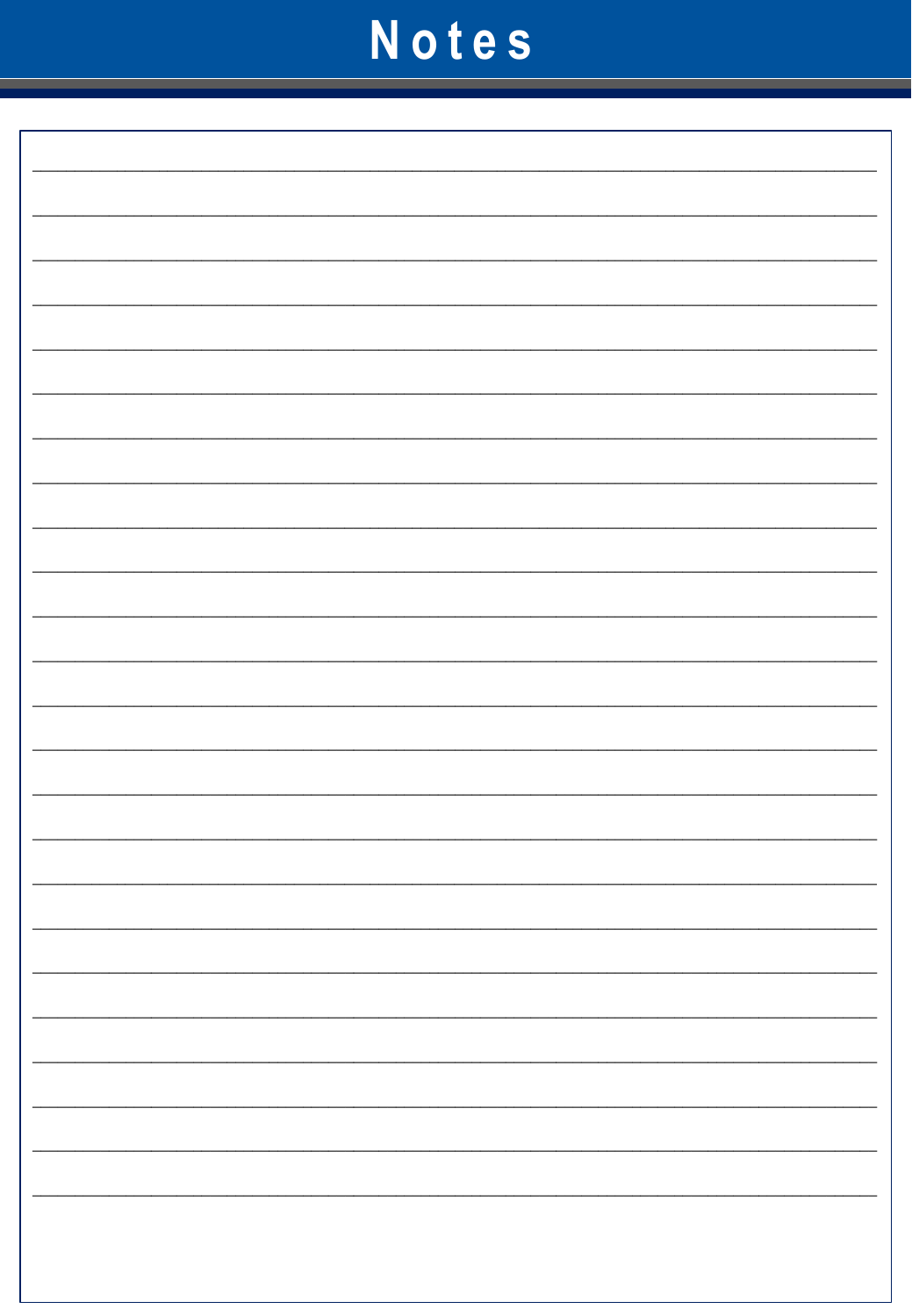## Notes

|  | $\overline{\phantom{0}}$ |
|--|--------------------------|
|  |                          |
|  |                          |
|  |                          |
|  |                          |
|  |                          |
|  |                          |
|  |                          |
|  |                          |
|  |                          |
|  |                          |
|  |                          |
|  |                          |
|  |                          |
|  |                          |
|  |                          |
|  |                          |
|  |                          |
|  |                          |
|  |                          |
|  |                          |
|  |                          |
|  |                          |
|  |                          |
|  |                          |
|  |                          |
|  |                          |
|  |                          |
|  |                          |
|  |                          |
|  |                          |
|  |                          |
|  |                          |
|  |                          |
|  |                          |
|  |                          |
|  |                          |
|  |                          |
|  |                          |
|  |                          |
|  |                          |
|  |                          |
|  |                          |
|  |                          |
|  |                          |
|  |                          |
|  |                          |
|  |                          |
|  |                          |
|  |                          |
|  |                          |
|  |                          |
|  |                          |
|  |                          |
|  |                          |
|  |                          |
|  |                          |
|  |                          |
|  |                          |
|  |                          |
|  |                          |
|  |                          |
|  |                          |
|  |                          |
|  |                          |
|  |                          |
|  |                          |
|  |                          |
|  |                          |
|  |                          |
|  |                          |
|  |                          |
|  |                          |
|  |                          |
|  |                          |
|  | $\overline{\phantom{0}}$ |
|  |                          |
|  |                          |
|  |                          |
|  | $\overline{\phantom{0}}$ |
|  |                          |
|  |                          |
|  |                          |
|  |                          |
|  | н.                       |
|  |                          |
|  |                          |
|  |                          |
|  |                          |
|  | Ξ.                       |
|  |                          |
|  |                          |
|  |                          |
|  |                          |
|  |                          |
|  |                          |
|  |                          |
|  |                          |
|  |                          |
|  |                          |
|  |                          |
|  |                          |
|  |                          |
|  | $\overline{\phantom{0}}$ |
|  |                          |
|  |                          |
|  |                          |
|  |                          |
|  |                          |
|  |                          |
|  |                          |
|  |                          |
|  |                          |
|  |                          |